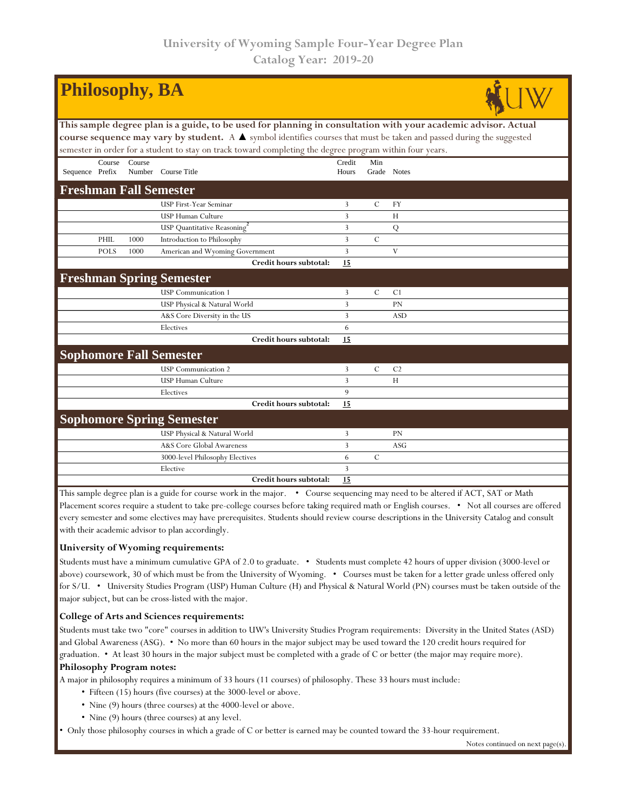| <b>Philosophy, BA</b>                                                                                                                  |             |        |                                  |                |               |                |  |  |  |  |  |
|----------------------------------------------------------------------------------------------------------------------------------------|-------------|--------|----------------------------------|----------------|---------------|----------------|--|--|--|--|--|
| This sample degree plan is a guide, to be used for planning in consultation with your academic advisor. Actual                         |             |        |                                  |                |               |                |  |  |  |  |  |
| course sequence may vary by student. A $\blacktriangle$ symbol identifies courses that must be taken and passed during the suggested   |             |        |                                  |                |               |                |  |  |  |  |  |
| semester in order for a student to stay on track toward completing the degree program within four years.                               |             |        |                                  |                |               |                |  |  |  |  |  |
|                                                                                                                                        | Course      | Course |                                  | Credit         | Min           |                |  |  |  |  |  |
| Sequence Prefix                                                                                                                        |             |        | Number Course Title              | Hours          |               | Grade Notes    |  |  |  |  |  |
| <b>Freshman Fall Semester</b>                                                                                                          |             |        |                                  |                |               |                |  |  |  |  |  |
|                                                                                                                                        |             |        | USP First-Year Seminar           | 3              | $\mathcal{C}$ | FY             |  |  |  |  |  |
|                                                                                                                                        |             |        | USP Human Culture                | 3              |               | H              |  |  |  |  |  |
|                                                                                                                                        |             |        | USP Quantitative Reasoning       | 3              |               | Q              |  |  |  |  |  |
|                                                                                                                                        | PHIL        | 1000   | Introduction to Philosophy       | $\overline{3}$ | $\mathcal{C}$ |                |  |  |  |  |  |
|                                                                                                                                        | <b>POLS</b> | 1000   | American and Wyoming Government  | 3              |               | V              |  |  |  |  |  |
|                                                                                                                                        |             |        | Credit hours subtotal:           | 15             |               |                |  |  |  |  |  |
|                                                                                                                                        |             |        | <b>Freshman Spring Semester</b>  |                |               |                |  |  |  |  |  |
|                                                                                                                                        |             |        | <b>USP</b> Communication 1       | $\overline{3}$ | $\mathcal{C}$ | C1             |  |  |  |  |  |
|                                                                                                                                        |             |        | USP Physical & Natural World     | 3              |               | PN             |  |  |  |  |  |
|                                                                                                                                        |             |        | A&S Core Diversity in the US     | $\overline{3}$ |               | <b>ASD</b>     |  |  |  |  |  |
|                                                                                                                                        |             |        | Electives                        | 6              |               |                |  |  |  |  |  |
|                                                                                                                                        |             |        | Credit hours subtotal:           | 15             |               |                |  |  |  |  |  |
|                                                                                                                                        |             |        | <b>Sophomore Fall Semester</b>   |                |               |                |  |  |  |  |  |
|                                                                                                                                        |             |        | <b>USP</b> Communication 2       | 3              | $\mathcal{C}$ | C <sub>2</sub> |  |  |  |  |  |
|                                                                                                                                        |             |        | <b>USP Human Culture</b>         | 3              |               | H              |  |  |  |  |  |
|                                                                                                                                        |             |        | Electives                        | 9              |               |                |  |  |  |  |  |
|                                                                                                                                        |             |        | Credit hours subtotal:           | 15             |               |                |  |  |  |  |  |
|                                                                                                                                        |             |        | <b>Sophomore Spring Semester</b> |                |               |                |  |  |  |  |  |
|                                                                                                                                        |             |        | USP Physical & Natural World     | 3              |               | PN             |  |  |  |  |  |
|                                                                                                                                        |             |        | A&S Core Global Awareness        | 3              |               | <b>ASG</b>     |  |  |  |  |  |
|                                                                                                                                        |             |        | 3000-level Philosophy Electives  | 6              | $\mathcal{C}$ |                |  |  |  |  |  |
|                                                                                                                                        |             |        | Elective                         | 3              |               |                |  |  |  |  |  |
|                                                                                                                                        |             |        | Credit hours subtotal:           | 15             |               |                |  |  |  |  |  |
| This sample degree plan is a quide for course work in the major $\bullet$ Course sequencing may need to be altered if ACT, SAT or Math |             |        |                                  |                |               |                |  |  |  |  |  |

Course sequencing may need to be a Placement scores require a student to take pre-college courses before taking required math or English courses. • Not all courses are offered every semester and some electives may have prerequisites. Students should review course descriptions in the University Catalog and consult with their academic advisor to plan accordingly.

## **University of Wyoming requirements:**

Students must have a minimum cumulative GPA of 2.0 to graduate. • Students must complete 42 hours of upper division (3000-level or above) coursework, 30 of which must be from the University of Wyoming. • Courses must be taken for a letter grade unless offered only for S/U. • University Studies Program (USP) Human Culture (H) and Physical & Natural World (PN) courses must be taken outside of the major subject, but can be cross-listed with the major.

## **College of Arts and Sciences requirements:**

Students must take two "core" courses in addition to UW's University Studies Program requirements: Diversity in the United States (ASD) and Global Awareness (ASG). • No more than 60 hours in the major subject may be used toward the 120 credit hours required for graduation. • At least 30 hours in the major subject must be completed with a grade of C or better (the major may require more). **Philosophy Program notes:**

A major in philosophy requires a minimum of 33 hours (11 courses) of philosophy. These 33 hours must include:

- Fifteen (15) hours (five courses) at the 3000-level or above.
- Nine (9) hours (three courses) at the 4000-level or above.
- Nine (9) hours (three courses) at any level.

• Only those philosophy courses in which a grade of C or better is earned may be counted toward the 33-hour requirement.

Notes continued on next page(s).